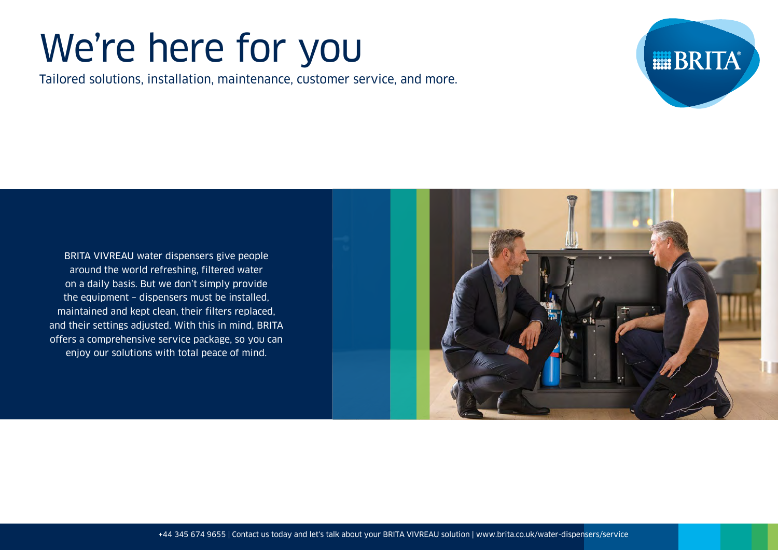# We're here for you

Tailored solutions, installation, maintenance, customer service, and more.



BRITA VIVREAU water dispensers give people around the world refreshing, filtered water on a daily basis. But we don't simply provide the equipment – dispensers must be installed, maintained and kept clean, their filters replaced, and their settings adjusted. With this in mind, BRITA offers a comprehensive service package, so you can enjoy our solutions with total peace of mind.

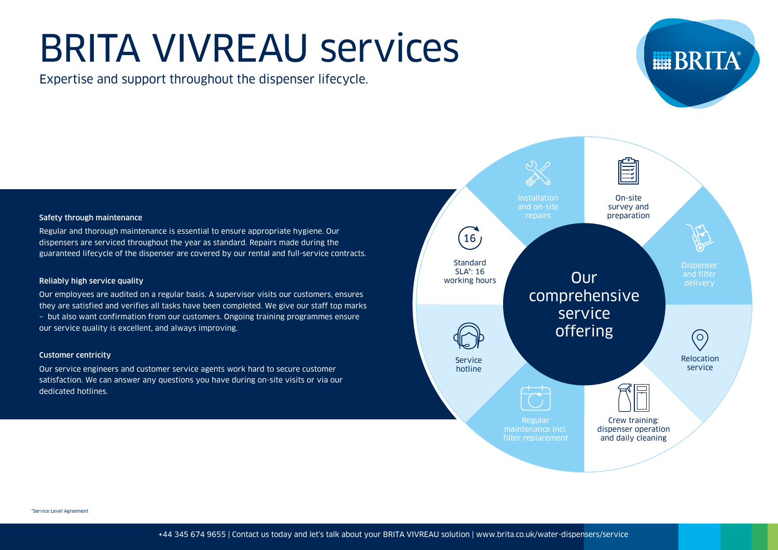# BRITA VIVREAU services

Expertise and support throughout the dispenser lifecycle.



#### Safety through maintenance

Regular and thorough maintenance is essential to ensure appropriate hygiene. Our dispensers are serviced throughout the year as standard. Repairs made during the guaranteed lifecycle of the dispenser are covered by our rental and full-service contracts.

#### Reliably high service quality

Our employees are audited on a regular basis. A supervisor visits our customers, ensures they are satisfied and verifies all tasks have been completed. We give our staff top marks – but also want confirmation from our customers. Ongoing training programmes ensure our service quality is excellent, and always improving.

#### Customer centricity

Our service engineers and customer service agents work hard to secure customer satisfaction. We can answer any questions you have during on-site visits or via our dedicated hotlines.